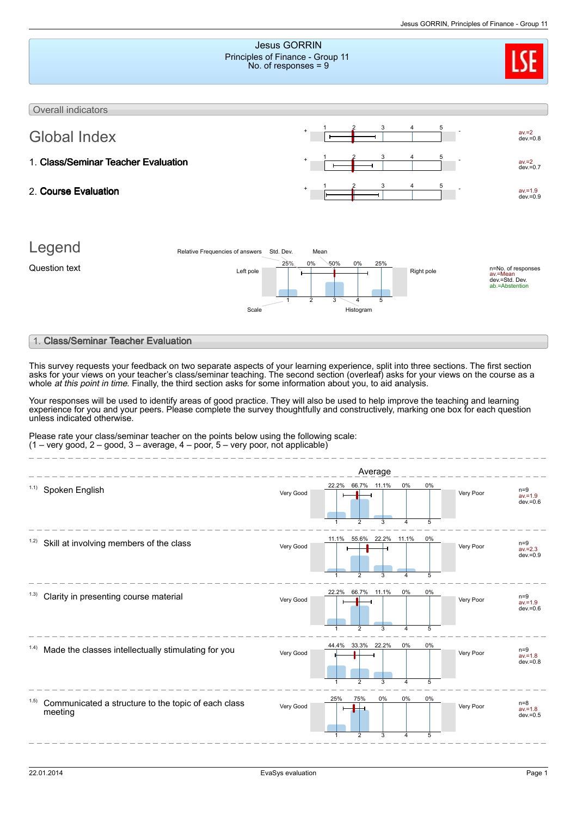|                                                                                                                                                                                                                                                                                                                                                                                                                                                                                                                                                                                                                                                                                                                                                                                                     |                                                                                   |                                                      |                                 | סטוואווויוט טטועוטווויז. די האנט טאנ |                                                        |
|-----------------------------------------------------------------------------------------------------------------------------------------------------------------------------------------------------------------------------------------------------------------------------------------------------------------------------------------------------------------------------------------------------------------------------------------------------------------------------------------------------------------------------------------------------------------------------------------------------------------------------------------------------------------------------------------------------------------------------------------------------------------------------------------------------|-----------------------------------------------------------------------------------|------------------------------------------------------|---------------------------------|--------------------------------------|--------------------------------------------------------|
|                                                                                                                                                                                                                                                                                                                                                                                                                                                                                                                                                                                                                                                                                                                                                                                                     | <b>Jesus GORRIN</b><br>Principles of Finance - Group 11<br>No. of responses $= 9$ |                                                      |                                 |                                      |                                                        |
| Overall indicators                                                                                                                                                                                                                                                                                                                                                                                                                                                                                                                                                                                                                                                                                                                                                                                  |                                                                                   |                                                      |                                 |                                      |                                                        |
| <b>Global Index</b>                                                                                                                                                                                                                                                                                                                                                                                                                                                                                                                                                                                                                                                                                                                                                                                 |                                                                                   |                                                      |                                 |                                      | $av = 2$<br>$dev = 0.8$                                |
| 1. Class/Seminar Teacher Evaluation                                                                                                                                                                                                                                                                                                                                                                                                                                                                                                                                                                                                                                                                                                                                                                 |                                                                                   |                                                      |                                 |                                      | $av = 2$<br>$dev = 0.7$                                |
| 2. Course Evaluation                                                                                                                                                                                                                                                                                                                                                                                                                                                                                                                                                                                                                                                                                                                                                                                |                                                                                   |                                                      |                                 |                                      | $av = 1.9$<br>$dev = 0.9$                              |
| Legend<br>Relative Frequencies of answers Std. Dev.<br>Question text<br>Left pole<br>Scale                                                                                                                                                                                                                                                                                                                                                                                                                                                                                                                                                                                                                                                                                                          | 25%<br>0%<br>$\overline{2}$                                                       | Mean<br>50%<br>0%<br>25%<br>3<br>5<br>4<br>Histogram | Right pole                      | av.=Mean                             | n=No. of responses<br>dev.=Std. Dev.<br>ab.=Abstention |
| 1. Class/Seminar Teacher Evaluation                                                                                                                                                                                                                                                                                                                                                                                                                                                                                                                                                                                                                                                                                                                                                                 |                                                                                   |                                                      |                                 |                                      |                                                        |
| This survey requests your feedback on two separate aspects of your learning experience, split into three sections. The first section<br>asks for your views on your teacher's class/seminar teaching. The second section (overleaf) asks for your views on the course as a<br>whole <i>at this point in time</i> . Finally, the third section asks for some information about you, to aid analysis.<br>Your responses will be used to identify areas of good practice. They will also be used to help improve the teaching and learning<br>experience for you and your peers. Please complete the survey thoughtfully and constructively, marking one box for each question<br>unless indicated otherwise.<br>Please rate your class/seminar teacher on the points below using the following scale: |                                                                                   |                                                      |                                 |                                      |                                                        |
| $(1 - \text{very good}, 2 - \text{good}, 3 - \text{average}, 4 - \text{poor}, 5 - \text{very poor}, n\text{ot applicable})$                                                                                                                                                                                                                                                                                                                                                                                                                                                                                                                                                                                                                                                                         |                                                                                   |                                                      |                                 |                                      |                                                        |
|                                                                                                                                                                                                                                                                                                                                                                                                                                                                                                                                                                                                                                                                                                                                                                                                     |                                                                                   | Average                                              |                                 |                                      |                                                        |
| 1.1)<br>Spoken English                                                                                                                                                                                                                                                                                                                                                                                                                                                                                                                                                                                                                                                                                                                                                                              | Very Good                                                                         | 66.7% 11.1%<br>22.2%<br>1<br>2<br>3                  | 0%<br>0%<br>5<br>$\overline{4}$ | Very Poor                            | $n=9$<br>$av = 1.9$<br>$dev = 0.6$                     |
| Skill at involving members of the class<br>1.2)                                                                                                                                                                                                                                                                                                                                                                                                                                                                                                                                                                                                                                                                                                                                                     | Very Good                                                                         | 11.1%<br>55.6% 22.2% 11.1%<br>$\overline{2}$         | 0%<br>5                         | Very Poor                            | $n=9$<br>$av = 2.3$<br>$dev = 0.9$                     |
| Clarity in presenting course material                                                                                                                                                                                                                                                                                                                                                                                                                                                                                                                                                                                                                                                                                                                                                               | Very Good                                                                         | 22.2% 66.7% 11.1%                                    | 0%<br>0%                        | Very Poor                            | $n=9$<br>$av = 1.9$<br>$dev = 0.6$                     |

|                                                                     |           |     | 44.4% 33.3% 22.2% |    | $0\%$ |
|---------------------------------------------------------------------|-----------|-----|-------------------|----|-------|
| <sup>1.4)</sup> Made the classes intellectually stimulating for you | Very Good |     |                   |    |       |
|                                                                     |           |     |                   |    |       |
|                                                                     |           |     |                   | ິ  |       |
|                                                                     |           | 25% | 75%               | 0% | $0\%$ |

Communicated a structure to the topic of each class meeting 1.5)

1

1

2

 $\overline{2}$ 

3

Very Good **Poor New York Proof** 

3

4

4

5

0%

5

 $\overline{a}$  $\sim$   $\sim$ 

0%

5

Very Poor

av.=1.8 dev.=0.8

av.=1.8 dev.=0.5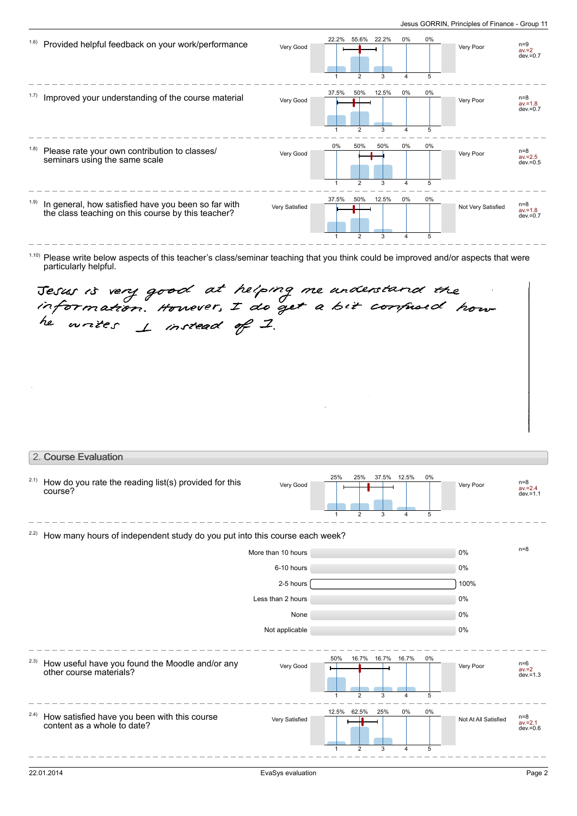| (1.6) | Provided helpful feedback on your work/performance                                                        | Very Good      | 22.2%      | 55.6%<br>$\overline{2}$ | 22.2%<br>3 | 0%<br>4              | 0%<br>5 | Very Poor          | $n=9$<br>$av = 2$<br>$dev = 0.7$   |
|-------|-----------------------------------------------------------------------------------------------------------|----------------|------------|-------------------------|------------|----------------------|---------|--------------------|------------------------------------|
| 1.7)  | Improved your understanding of the course material                                                        | Very Good      | 37.5%<br>1 | 50%<br>$\overline{2}$   | 12.5%<br>3 | 0%<br>$\overline{4}$ | 0%<br>5 | Very Poor          | $n=8$<br>$av = 1.8$<br>$dev = 0.7$ |
| (1.8) | Please rate your own contribution to classes/<br>seminars using the same scale                            | Very Good      | 0%<br>1    | 50%<br>$\overline{2}$   | 50%<br>3   | 0%<br>4              | 0%<br>5 | Very Poor          | $n=8$<br>$av = 2.5$<br>$dev = 0.5$ |
| (1.9) | In general, how satisfied have you been so far with<br>the class teaching on this course by this teacher? | Very Satisfied | 37.5%<br>1 | 50%<br>$\overline{2}$   | 12.5%<br>3 | 0%<br>$\Delta$       | 0%<br>5 | Not Very Satisfied | $n=8$<br>$av = 1.8$<br>$dev = 0.7$ |

 $1.10$ ) Please write below aspects of this teacher's class/seminar teaching that you think could be improved and/or aspects that were particularly helpful.

Jesus is very good at helping me anderstand the<br>information. However, I do get a bit compused how-<br>he writes  $\pm$  instead of I.

|      | 2. Course Evaluation                                                        |                    |                  |                       |                        |                |            |                      |                                    |
|------|-----------------------------------------------------------------------------|--------------------|------------------|-----------------------|------------------------|----------------|------------|----------------------|------------------------------------|
| 2.1) | How do you rate the reading list(s) provided for this<br>course?            | Very Good          | 25%              | 25%<br>$\overline{2}$ | 37.5% 12.5%<br>3       | $\overline{4}$ | 0%<br>5    | Very Poor            | $n=8$<br>$av = 2.4$<br>$dev = 1.1$ |
| 2.2) | How many hours of independent study do you put into this course each week?  |                    |                  |                       |                        |                |            |                      |                                    |
|      |                                                                             | More than 10 hours |                  |                       |                        |                |            | 0%                   | $n=8$                              |
|      |                                                                             | 6-10 hours         |                  |                       |                        |                |            | 0%                   |                                    |
|      |                                                                             | 2-5 hours          |                  |                       |                        |                |            | 100%                 |                                    |
|      |                                                                             | Less than 2 hours  |                  |                       |                        |                |            | 0%                   |                                    |
|      |                                                                             | None               |                  |                       |                        |                |            | 0%                   |                                    |
|      |                                                                             | Not applicable     |                  |                       |                        |                |            | 0%                   |                                    |
| 2.3) | How useful have you found the Moodle and/or any<br>other course materials?  | Very Good          | 50%              | $\overline{2}$        | 16.7% 16.7% 16.7%<br>3 | 4              | $0\%$<br>5 | Very Poor            | $n=6$<br>$av = 2$<br>$dev = 1.3$   |
| 2.4) | How satisfied have you been with this course<br>content as a whole to date? | Very Satisfied     | 12.5% 62.5%<br>1 | $\overline{2}$        | 25%<br>3               | $0\%$<br>4     | 0%<br>5    | Not At All Satisfied | $n=8$<br>$av = 2.1$<br>$dev = 0.6$ |
|      |                                                                             |                    |                  |                       |                        |                |            |                      |                                    |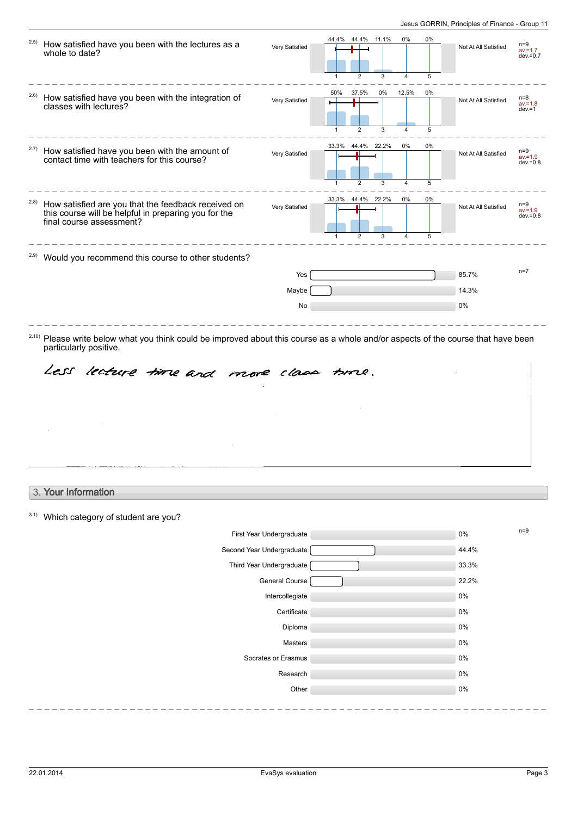| (2.5) | How satisfied have you been with the lectures as a<br>whole to date?                                                                                                                                              | Very Satisfied            | 44.4% 11.1%<br>44.4%<br>$\overline{2}$<br>3<br>$\mathbf{1}$ | 0%<br>$\overline{4}$ | 0%<br>5 | Not At All Satisfied | $n=9$<br>$av = 1.7$<br>$dev = 0.7$ |
|-------|-------------------------------------------------------------------------------------------------------------------------------------------------------------------------------------------------------------------|---------------------------|-------------------------------------------------------------|----------------------|---------|----------------------|------------------------------------|
| 2.6)  | How satisfied have you been with the integration of<br>classes with lectures?                                                                                                                                     | Very Satisfied            | 50%<br>37.5%<br>0%<br>$\overline{2}$<br>3                   | 12.5%<br>4           | 0%<br>5 | Not At All Satisfied | n=8<br>$av = 1.8$<br>$dev = 1$     |
| 2.7)  | How satisfied have you been with the amount of<br>contact time with teachers for this course?                                                                                                                     | Very Satisfied            | 33.3%<br>44.4% 22.2%<br>2<br>3                              | 0%<br>$\overline{4}$ | 0%<br>5 | Not At All Satisfied | $n=9$<br>$av = 1.9$<br>$dev = 0.8$ |
| (2.8) | How satisfied are you that the feedback received on<br>this course will be helpful in preparing you for the<br>final course assessment?                                                                           | Very Satisfied            | 33.3%<br>44.4% 22.2%<br>2<br>3                              | 0%<br>4              | 0%<br>5 | Not At All Satisfied | $n=9$<br>$av = 1.9$<br>$dev = 0.8$ |
| 2.9)  | Would you recommend this course to other students?                                                                                                                                                                |                           |                                                             |                      |         |                      |                                    |
|       |                                                                                                                                                                                                                   | Yes                       |                                                             |                      |         | 85.7%                | $n=7$                              |
|       |                                                                                                                                                                                                                   | Maybe                     |                                                             |                      |         | 14.3%                |                                    |
|       |                                                                                                                                                                                                                   | No                        |                                                             |                      |         | 0%                   |                                    |
|       | <sup>2.10)</sup> Please write below what you think could be improved about this course as a whole and/or aspects of the course that have been<br>particularly positive.<br>Less lecture time and more class time. |                           |                                                             |                      |         |                      |                                    |
|       |                                                                                                                                                                                                                   |                           |                                                             |                      |         |                      |                                    |
|       | 3. Your Information                                                                                                                                                                                               |                           |                                                             |                      |         |                      |                                    |
|       |                                                                                                                                                                                                                   |                           |                                                             |                      |         |                      |                                    |
|       | Which category of student are you?                                                                                                                                                                                | First Year Undergraduate  |                                                             |                      |         | 0%                   | $n=9$                              |
|       |                                                                                                                                                                                                                   | Second Year Undergraduate |                                                             |                      |         | 44.4%                |                                    |
|       |                                                                                                                                                                                                                   | Third Year Undergraduate  |                                                             |                      |         | 33.3%                |                                    |
|       |                                                                                                                                                                                                                   | General Course            |                                                             |                      |         | 22.2%                |                                    |
|       |                                                                                                                                                                                                                   | Intercollegiate           |                                                             |                      |         | 0%                   |                                    |
|       |                                                                                                                                                                                                                   | Certificate               |                                                             |                      |         | 0%                   |                                    |
|       |                                                                                                                                                                                                                   | Diploma                   |                                                             |                      |         | 0%                   |                                    |
|       |                                                                                                                                                                                                                   | Masters                   |                                                             |                      |         | 0%                   |                                    |
|       |                                                                                                                                                                                                                   | Socrates or Erasmus       |                                                             |                      |         | 0%                   |                                    |
| 3.1)  |                                                                                                                                                                                                                   | Research<br>Other         |                                                             |                      |         | 0%<br>0%             |                                    |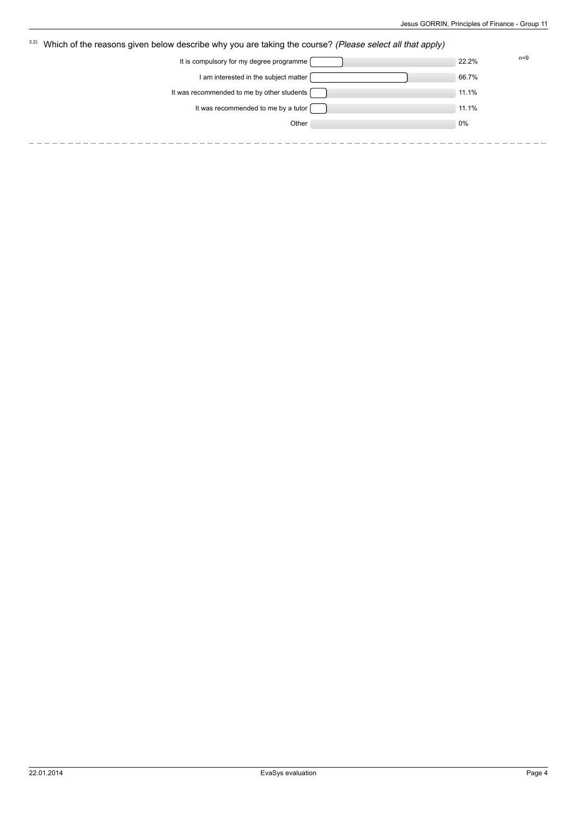| 3.2) | Which of the reasons given below describe why you are taking the course? (Please select all that apply) |       |       |
|------|---------------------------------------------------------------------------------------------------------|-------|-------|
|      | It is compulsory for my degree programme                                                                | 22.2% | $n=9$ |
|      | I am interested in the subject matter                                                                   | 66.7% |       |
|      | It was recommended to me by other students [                                                            | 11.1% |       |
|      | It was recommended to me by a tutor                                                                     | 11.1% |       |
|      | Other                                                                                                   | 0%    |       |
|      |                                                                                                         |       |       |